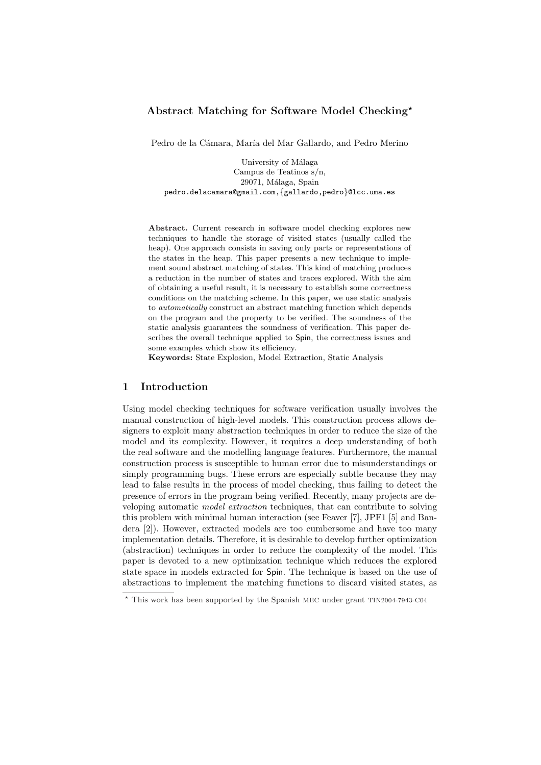## Abstract Matching for Software Model Checking\*

Pedro de la Cámara, María del Mar Gallardo, and Pedro Merino

University of Málaga Campus de Teatinos s/n, 29071, Málaga, Spain pedro.delacamara@gmail.com,{gallardo,pedro}@lcc.uma.es

Abstract. Current research in software model checking explores new techniques to handle the storage of visited states (usually called the heap). One approach consists in saving only parts or representations of the states in the heap. This paper presents a new technique to implement sound abstract matching of states. This kind of matching produces a reduction in the number of states and traces explored. With the aim of obtaining a useful result, it is necessary to establish some correctness conditions on the matching scheme. In this paper, we use static analysis to automatically construct an abstract matching function which depends on the program and the property to be verified. The soundness of the static analysis guarantees the soundness of verification. This paper describes the overall technique applied to Spin, the correctness issues and some examples which show its efficiency.

Keywords: State Explosion, Model Extraction, Static Analysis

### 1 Introduction

Using model checking techniques for software verification usually involves the manual construction of high-level models. This construction process allows designers to exploit many abstraction techniques in order to reduce the size of the model and its complexity. However, it requires a deep understanding of both the real software and the modelling language features. Furthermore, the manual construction process is susceptible to human error due to misunderstandings or simply programming bugs. These errors are especially subtle because they may lead to false results in the process of model checking, thus failing to detect the presence of errors in the program being verified. Recently, many projects are developing automatic model extraction techniques, that can contribute to solving this problem with minimal human interaction (see Feaver [7], JPF1 [5] and Bandera [2]). However, extracted models are too cumbersome and have too many implementation details. Therefore, it is desirable to develop further optimization (abstraction) techniques in order to reduce the complexity of the model. This paper is devoted to a new optimization technique which reduces the explored state space in models extracted for Spin. The technique is based on the use of abstractions to implement the matching functions to discard visited states, as

 $*$  This work has been supported by the Spanish MEC under grant TIN2004-7943-C04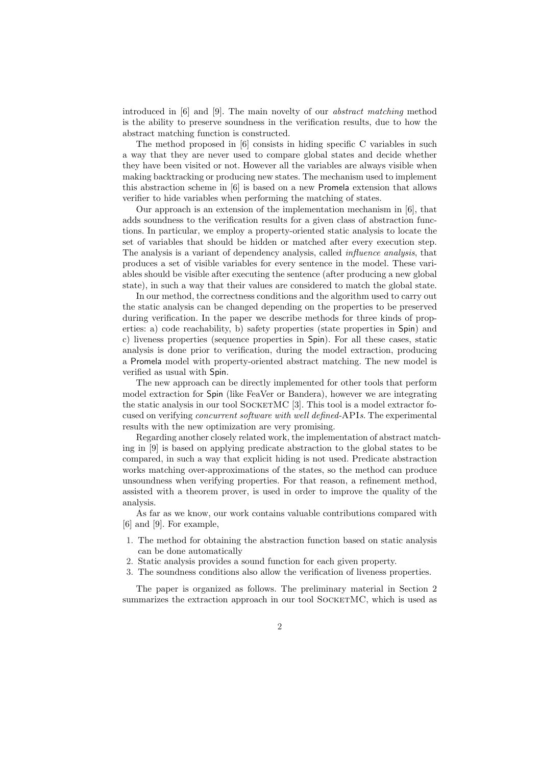introduced in [6] and [9]. The main novelty of our abstract matching method is the ability to preserve soundness in the verification results, due to how the abstract matching function is constructed.

The method proposed in [6] consists in hiding specific C variables in such a way that they are never used to compare global states and decide whether they have been visited or not. However all the variables are always visible when making backtracking or producing new states. The mechanism used to implement this abstraction scheme in [6] is based on a new Promela extension that allows verifier to hide variables when performing the matching of states.

Our approach is an extension of the implementation mechanism in [6], that adds soundness to the verification results for a given class of abstraction functions. In particular, we employ a property-oriented static analysis to locate the set of variables that should be hidden or matched after every execution step. The analysis is a variant of dependency analysis, called influence analysis, that produces a set of visible variables for every sentence in the model. These variables should be visible after executing the sentence (after producing a new global state), in such a way that their values are considered to match the global state.

In our method, the correctness conditions and the algorithm used to carry out the static analysis can be changed depending on the properties to be preserved during verification. In the paper we describe methods for three kinds of properties: a) code reachability, b) safety properties (state properties in Spin) and c) liveness properties (sequence properties in Spin). For all these cases, static analysis is done prior to verification, during the model extraction, producing a Promela model with property-oriented abstract matching. The new model is verified as usual with Spin.

The new approach can be directly implemented for other tools that perform model extraction for Spin (like FeaVer or Bandera), however we are integrating the static analysis in our tool SOCKETMC  $[3]$ . This tool is a model extractor focused on verifying concurrent software with well defined-APIs. The experimental results with the new optimization are very promising.

Regarding another closely related work, the implementation of abstract matching in [9] is based on applying predicate abstraction to the global states to be compared, in such a way that explicit hiding is not used. Predicate abstraction works matching over-approximations of the states, so the method can produce unsoundness when verifying properties. For that reason, a refinement method, assisted with a theorem prover, is used in order to improve the quality of the analysis.

As far as we know, our work contains valuable contributions compared with [6] and [9]. For example,

- 1. The method for obtaining the abstraction function based on static analysis can be done automatically
- 2. Static analysis provides a sound function for each given property.
- 3. The soundness conditions also allow the verification of liveness properties.

The paper is organized as follows. The preliminary material in Section 2 summarizes the extraction approach in our tool SOCKETMC, which is used as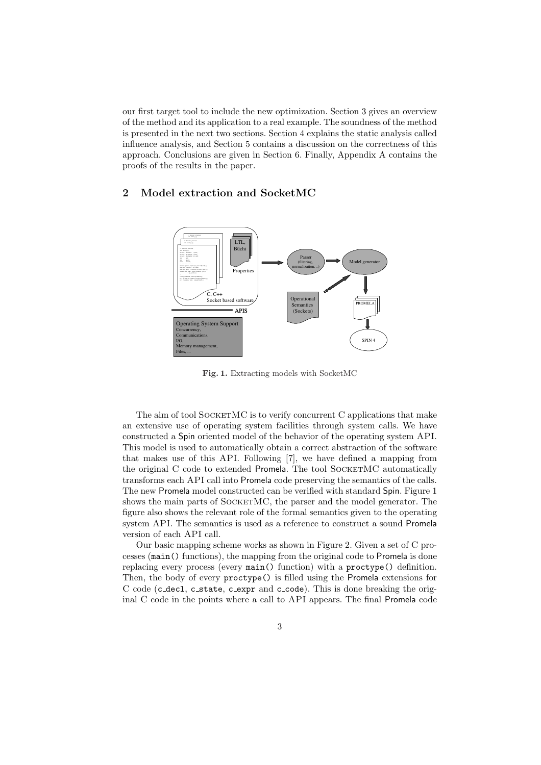our first target tool to include the new optimization. Section 3 gives an overview of the method and its application to a real example. The soundness of the method is presented in the next two sections. Section 4 explains the static analysis called influence analysis, and Section 5 contains a discussion on the correctness of this approach. Conclusions are given in Section 6. Finally, Appendix A contains the proofs of the results in the paper.

## 2 Model extraction and SocketMC



Fig. 1. Extracting models with SocketMC

The aim of tool SOCKETMC is to verify concurrent C applications that make an extensive use of operating system facilities through system calls. We have constructed a Spin oriented model of the behavior of the operating system API. This model is used to automatically obtain a correct abstraction of the software that makes use of this API. Following [7], we have defined a mapping from the original C code to extended Promela. The tool SOCKETMC automatically transforms each API call into Promela code preserving the semantics of the calls. The new Promela model constructed can be verified with standard Spin. Figure 1 shows the main parts of SOCKETMC, the parser and the model generator. The figure also shows the relevant role of the formal semantics given to the operating system API. The semantics is used as a reference to construct a sound Promela version of each API call.

Our basic mapping scheme works as shown in Figure 2. Given a set of C processes (main() functions), the mapping from the original code to Promela is done replacing every process (every main() function) with a proctype() definition. Then, the body of every proctype() is filled using the Promela extensions for C code (c\_decl, c\_state, c\_expr and c\_code). This is done breaking the original C code in the points where a call to API appears. The final Promela code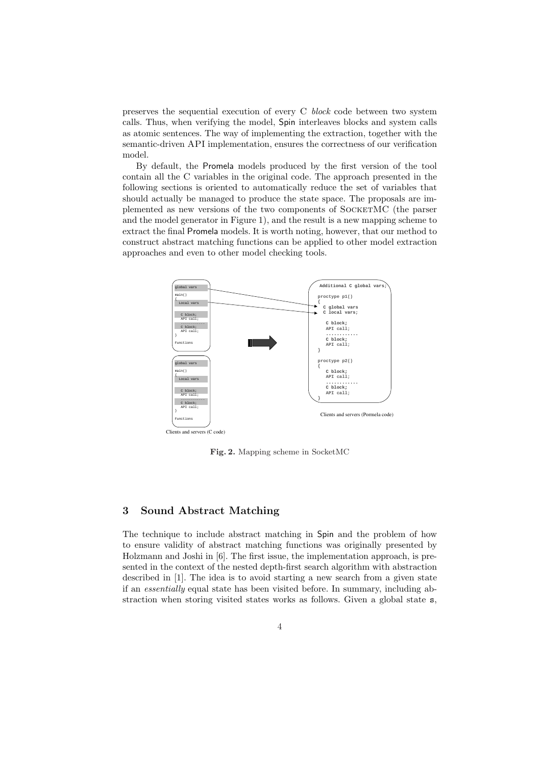preserves the sequential execution of every C block code between two system calls. Thus, when verifying the model, Spin interleaves blocks and system calls as atomic sentences. The way of implementing the extraction, together with the semantic-driven API implementation, ensures the correctness of our verification model.

By default, the Promela models produced by the first version of the tool contain all the C variables in the original code. The approach presented in the following sections is oriented to automatically reduce the set of variables that should actually be managed to produce the state space. The proposals are implemented as new versions of the two components of SOCKETMC (the parser and the model generator in Figure 1), and the result is a new mapping scheme to extract the final Promela models. It is worth noting, however, that our method to construct abstract matching functions can be applied to other model extraction approaches and even to other model checking tools.



Fig. 2. Mapping scheme in SocketMC

## 3 Sound Abstract Matching

The technique to include abstract matching in Spin and the problem of how to ensure validity of abstract matching functions was originally presented by Holzmann and Joshi in [6]. The first issue, the implementation approach, is presented in the context of the nested depth-first search algorithm with abstraction described in [1]. The idea is to avoid starting a new search from a given state if an essentially equal state has been visited before. In summary, including abstraction when storing visited states works as follows. Given a global state s,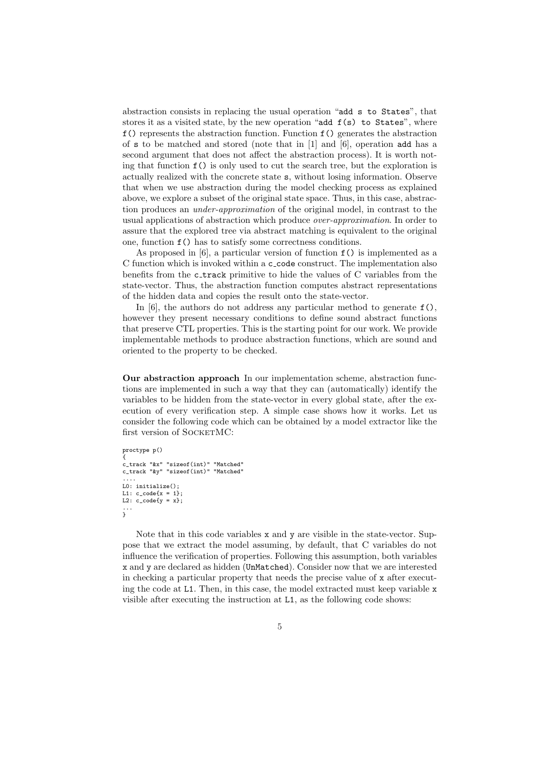abstraction consists in replacing the usual operation "add s to States", that stores it as a visited state, by the new operation "add  $f(s)$  to States", where  $f()$  represents the abstraction function. Function  $f()$  generates the abstraction of s to be matched and stored (note that in [1] and [6], operation add has a second argument that does not affect the abstraction process). It is worth noting that function  $f()$  is only used to cut the search tree, but the exploration is actually realized with the concrete state s, without losing information. Observe that when we use abstraction during the model checking process as explained above, we explore a subset of the original state space. Thus, in this case, abstraction produces an under-approximation of the original model, in contrast to the usual applications of abstraction which produce over-approximation. In order to assure that the explored tree via abstract matching is equivalent to the original one, function f() has to satisfy some correctness conditions.

As proposed in  $[6]$ , a particular version of function  $f()$  is implemented as a C function which is invoked within a c<sub>rode</sub> construct. The implementation also benefits from the c track primitive to hide the values of C variables from the state-vector. Thus, the abstraction function computes abstract representations of the hidden data and copies the result onto the state-vector.

In  $[6]$ , the authors do not address any particular method to generate  $f(.)$ , however they present necessary conditions to define sound abstract functions that preserve CTL properties. This is the starting point for our work. We provide implementable methods to produce abstraction functions, which are sound and oriented to the property to be checked.

Our abstraction approach In our implementation scheme, abstraction functions are implemented in such a way that they can (automatically) identify the variables to be hidden from the state-vector in every global state, after the execution of every verification step. A simple case shows how it works. Let us consider the following code which can be obtained by a model extractor like the first version of SOCKETMC:

```
proctype p()
{
c_track "&x" "sizeof(int)" "Matched"
c_track "&y" "sizeof(int)" "Matched"
....
L0: initialize();
L1: c\_code{x = 1};
L2: c\_{code{code{y = x}};
...
}
```
Note that in this code variables x and y are visible in the state-vector. Suppose that we extract the model assuming, by default, that C variables do not influence the verification of properties. Following this assumption, both variables x and y are declared as hidden (UnMatched). Consider now that we are interested in checking a particular property that needs the precise value of x after executing the code at L1. Then, in this case, the model extracted must keep variable x visible after executing the instruction at L1, as the following code shows: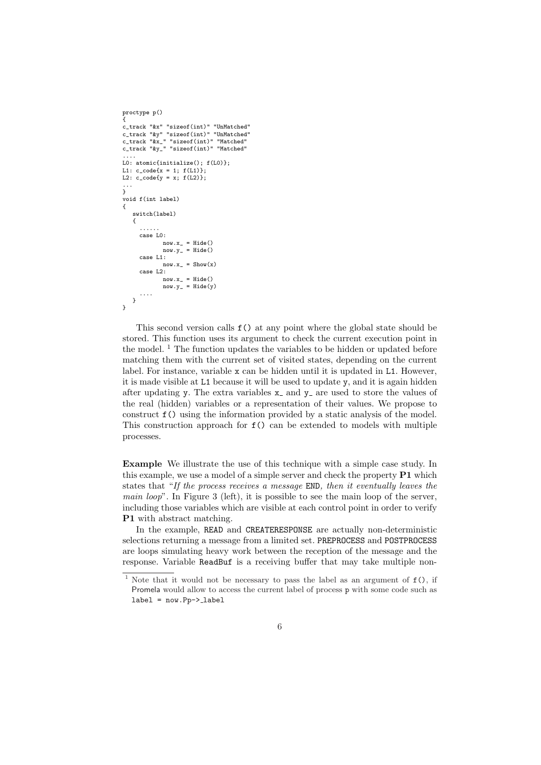```
proctype p()
{
c_track "&x" "sizeof(int)" "UnMatched"
c_track "&y" "sizeof(int)" "UnMatched"
c_track "&x_" "sizeof(int)" "Matched"
c_track "&y_" "sizeof(int)" "Matched"
....
L0: atomic{initialize(); f(L0)};
L1: c_code{x = 1; f(L1)};
L2: c_code{y = x; f(L2)};
...
}
void f(int label)
{
    switch(label)
    {
       ......
      case L0:
               now.x_ = Hide()now.y_ = Hide()case L1:
               now.x_ = Show(x)case L2:
                now.x_ = Hide()
now.y_ = Hide(y)
      ....
   }
}
```
This second version calls f() at any point where the global state should be stored. This function uses its argument to check the current execution point in the model.  $\frac{1}{1}$  The function updates the variables to be hidden or updated before matching them with the current set of visited states, depending on the current label. For instance, variable x can be hidden until it is updated in L1. However, it is made visible at L1 because it will be used to update y, and it is again hidden after updating y. The extra variables  $x_$  and  $y_$  are used to store the values of the real (hidden) variables or a representation of their values. We propose to construct f() using the information provided by a static analysis of the model. This construction approach for  $f()$  can be extended to models with multiple processes.

Example We illustrate the use of this technique with a simple case study. In this example, we use a model of a simple server and check the property P1 which states that "If the process receives a message END, then it eventually leaves the *main loop*". In Figure 3 (left), it is possible to see the main loop of the server, including those variables which are visible at each control point in order to verify P1 with abstract matching.

In the example, READ and CREATERESPONSE are actually non-deterministic selections returning a message from a limited set. PREPROCESS and POSTPROCESS are loops simulating heavy work between the reception of the message and the response. Variable ReadBuf is a receiving buffer that may take multiple non-

<sup>&</sup>lt;sup>1</sup> Note that it would not be necessary to pass the label as an argument of  $f()$ , if Promela would allow to access the current label of process p with some code such as label = now.Pp-> label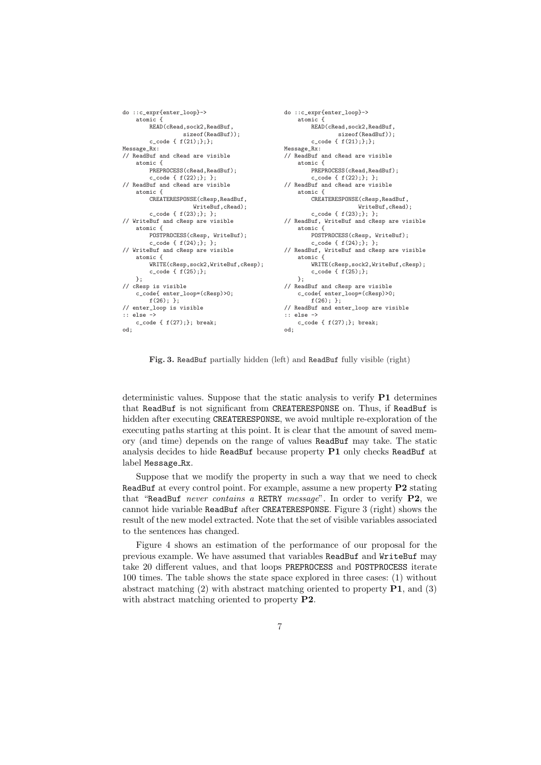```
do ::c_expr{enter_loop}->
    atomic {
        READ(cRead,sock2,ReadBuf,
                  sizeof(ReadBuf));
        c_{code} \{ f(21); \};Message_Rx:
// ReadBuf and cRead are visible
    atomic {
        PREPROCESS(cRead,ReadBuf);
        c_code { f(22);}; };
// ReadBuf and cRead are visible
    atomic {
        CREATERESPONSE(cResp,ReadBuf,
                      WriteBuf,cRead);
        c_code { f(23);}; };
// WriteBuf and cResp are visible
    atomic {
        POSTPROCESS(cResp, WriteBuf);
        c_{code} { f(24); }; };
// WriteBuf and cResp are visible
    atomic {
        WRITE(cResp,sock2,WriteBuf,cResp);
        c_code { f(25);};
    };
// cResp is visible
    c_code{ enter_loop=(cResp)>0;
        f(26):};
// enter_loop is visible
:: else ->
    c\_{code} { f(27);}; break;
od;
                                                  do ::c_expr{enter_loop}->
                                                      atomic {
                                                          READ(cRead,sock2,ReadBuf,
                                                                   sizeof(ReadBuf));
                                                           c_{code} \{ f(21); \};Message_Rx:
                                                  // ReadBuf and cRead are visible
                                                      atomic {
                                                          PREPROCESS(cRead,ReadBuf);
                                                           c_code { f(22);}; };
                                                  // ReadBuf and cRead are visible
                                                      atomic {
                                                          CREATERESPONSE(cResp,ReadBuf,
                                                                         WriteBuf,cRead);
                                                           c_code { f(23);}; };
                                                  // ReadBuf, WriteBuf and cResp are visible
                                                      atomic {
                                                           POSTPROCESS(cResp, WriteBuf);
c_code { f(24);}; };
                                                  // ReadBuf, WriteBuf and cResp are visible
                                                      atomic {
                                                          WRITE(cResp,sock2,WriteBuf,cResp);
                                                           c_code { f(25);};
                                                      };
                                                  // ReadBuf and cResp are visible
                                                      c_code{ enter_loop=(cResp)>0;
                                                          f(26):};
                                                  // ReadBuf and enter_loop are visible
                                                  :: else ->
                                                      c_code \{ f(27); \}; break;
                                                  od;
```
Fig. 3. ReadBuf partially hidden (left) and ReadBuf fully visible (right)

deterministic values. Suppose that the static analysis to verify P1 determines that ReadBuf is not significant from CREATERESPONSE on. Thus, if ReadBuf is hidden after executing CREATERESPONSE, we avoid multiple re-exploration of the executing paths starting at this point. It is clear that the amount of saved memory (and time) depends on the range of values ReadBuf may take. The static analysis decides to hide ReadBuf because property P1 only checks ReadBuf at label Message Rx.

Suppose that we modify the property in such a way that we need to check ReadBuf at every control point. For example, assume a new property P2 stating that "ReadBuf never contains a RETRY message". In order to verify  $P2$ , we cannot hide variable ReadBuf after CREATERESPONSE. Figure 3 (right) shows the result of the new model extracted. Note that the set of visible variables associated to the sentences has changed.

Figure 4 shows an estimation of the performance of our proposal for the previous example. We have assumed that variables ReadBuf and WriteBuf may take 20 different values, and that loops PREPROCESS and POSTPROCESS iterate 100 times. The table shows the state space explored in three cases: (1) without abstract matching  $(2)$  with abstract matching oriented to property **P1**, and  $(3)$ with abstract matching oriented to property **P2**.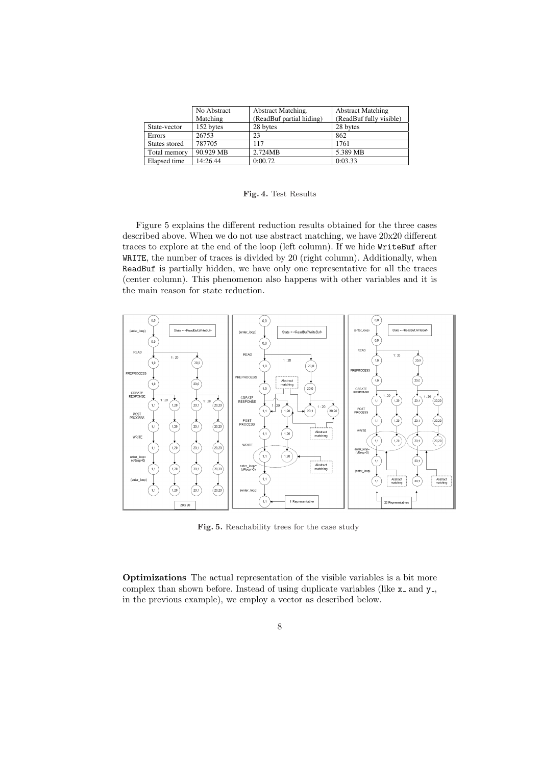|               | No Abstract | Abstract Matching.       | <b>Abstract Matching</b> |
|---------------|-------------|--------------------------|--------------------------|
|               | Matching    | (ReadBuf partial hiding) | (ReadBuf fully visible)  |
| State-vector  | 152 bytes   | 28 bytes                 | 28 bytes                 |
| <b>Errors</b> | 26753       | 23                       | 862                      |
| States stored | 787705      | 117                      | 1761                     |
| Total memory  | 90.929 MB   | 2.724MB                  | 5.389 MB                 |
| Elapsed time  | 14:26.44    | 0:00.72                  | 0:03.33                  |

Fig. 4. Test Results

Figure 5 explains the different reduction results obtained for the three cases described above. When we do not use abstract matching, we have 20x20 different traces to explore at the end of the loop (left column). If we hide WriteBuf after WRITE, the number of traces is divided by 20 (right column). Additionally, when ReadBuf is partially hidden, we have only one representative for all the traces (center column). This phenomenon also happens with other variables and it is the main reason for state reduction.



Fig. 5. Reachability trees for the case study

Optimizations The actual representation of the visible variables is a bit more complex than shown before. Instead of using duplicate variables (like  $x_$  and  $y_$ , in the previous example), we employ a vector as described below.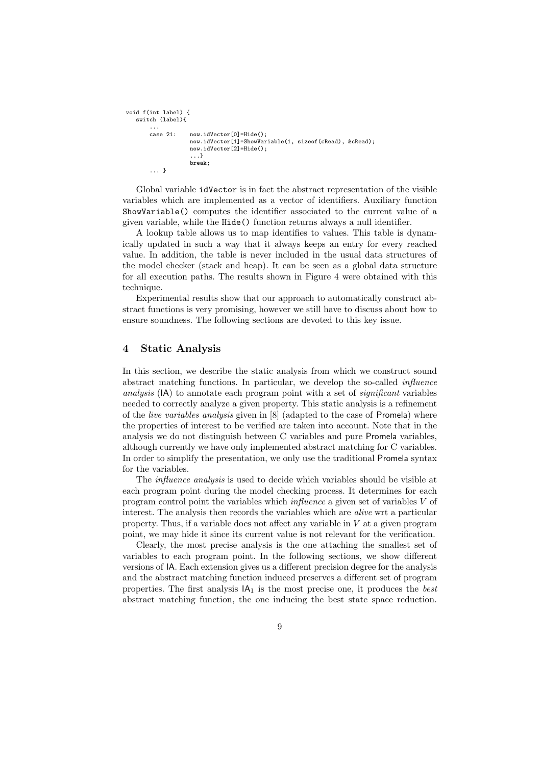```
void f(int label) {
  switch (label){
       ...
       case 21: now.idVector[0]=Hide();
                   now.idVector[1]=ShowVariable(1, sizeof(cRead), &cRead);
                   now.idVector[2]=Hide();
                   ...}
                   break;
       ... }
```
Global variable idVector is in fact the abstract representation of the visible variables which are implemented as a vector of identifiers. Auxiliary function ShowVariable() computes the identifier associated to the current value of a given variable, while the Hide() function returns always a null identifier.

A lookup table allows us to map identifies to values. This table is dynamically updated in such a way that it always keeps an entry for every reached value. In addition, the table is never included in the usual data structures of the model checker (stack and heap). It can be seen as a global data structure for all execution paths. The results shown in Figure 4 were obtained with this technique.

Experimental results show that our approach to automatically construct abstract functions is very promising, however we still have to discuss about how to ensure soundness. The following sections are devoted to this key issue.

#### 4 Static Analysis

In this section, we describe the static analysis from which we construct sound abstract matching functions. In particular, we develop the so-called influence analysis (IA) to annotate each program point with a set of significant variables needed to correctly analyze a given property. This static analysis is a refinement of the live variables analysis given in [8] (adapted to the case of Promela) where the properties of interest to be verified are taken into account. Note that in the analysis we do not distinguish between C variables and pure Promela variables, although currently we have only implemented abstract matching for C variables. In order to simplify the presentation, we only use the traditional Promela syntax for the variables.

The *influence analysis* is used to decide which variables should be visible at each program point during the model checking process. It determines for each program control point the variables which influence a given set of variables V of interest. The analysis then records the variables which are alive wrt a particular property. Thus, if a variable does not affect any variable in  $V$  at a given program point, we may hide it since its current value is not relevant for the verification.

Clearly, the most precise analysis is the one attaching the smallest set of variables to each program point. In the following sections, we show different versions of IA. Each extension gives us a different precision degree for the analysis and the abstract matching function induced preserves a different set of program properties. The first analysis  $|A_1|$  is the most precise one, it produces the *best* abstract matching function, the one inducing the best state space reduction.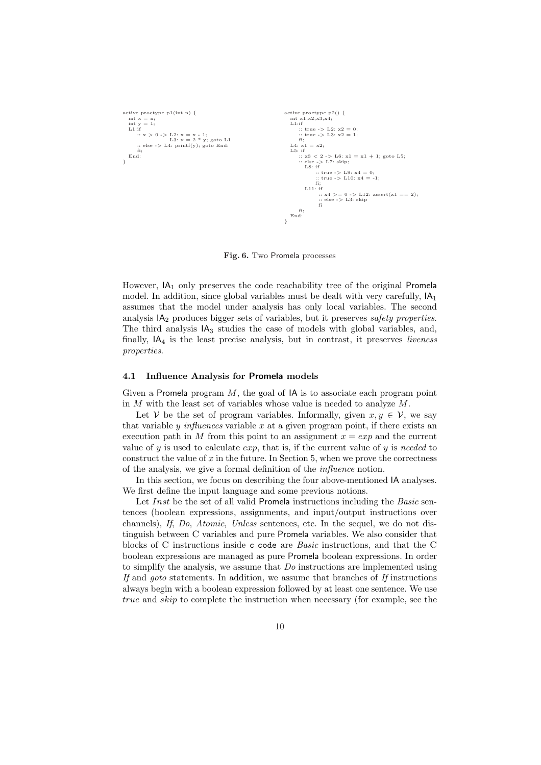```
active proctype p1(int n) {
     int x = n;<br>int y = 1;<br>L1:if
            :: x > 0 -> L2: x = x - 1;<br>
L3: y = 2 * y; goto L1<br>
:: else -> L4: printf(y); goto End:
            fi;
   End:
}
                                                                                                                                    active proctype p2() {<br>int x1, x2, x3, x4;L1:if<br>
:: true -> L2: x2 = 0;<br>
:: true -> L3: x2 = 1;<br>
fi;<br>
L4: x1 = x2;<br>
L5: if
                                                                                                                                               : 11<br>:: x3 < 2 -> L6: x1 = x1 + 1; goto L5;<br>:: else -> L7: skip:
                                                                                                                                                            \sim - \sim - \sim - \sim + \sim -\simL8: if:: true \Rightarrow L9: x4 = 0;<br>:: true \Rightarrow L10: x4 = -1;
                                                                                                                                                    fi;
L11: if
                                                                                                                                                               :: x4 >= 0 -> L12: assert(x1 == 2);<br>:: else -> L3: skip<br>fi
                                                                                                                                              fi;
                                                                                                                                       End:
                                                                                                                                   }
```
Fig. 6. Two Promela processes

However,  $|A_1|$  only preserves the code reachability tree of the original Promela model. In addition, since global variables must be dealt with very carefully,  $|A_1|$ assumes that the model under analysis has only local variables. The second analysis  $A_2$  produces bigger sets of variables, but it preserves safety properties. The third analysis  $IA_3$  studies the case of models with global variables, and, finally,  $IA<sub>4</sub>$  is the least precise analysis, but in contrast, it preserves *liveness* properties.

#### 4.1 Influence Analysis for Promela models

Given a Promela program  $M$ , the goal of  $|A|$  is to associate each program point in M with the least set of variables whose value is needed to analyze M.

Let V be the set of program variables. Informally, given  $x, y \in V$ , we say that variable *y* influences variable x at a given program point, if there exists an execution path in M from this point to an assignment  $x = exp$  and the current value of y is used to calculate  $exp$ , that is, if the current value of y is needed to construct the value of  $x$  in the future. In Section 5, when we prove the correctness of the analysis, we give a formal definition of the influence notion.

In this section, we focus on describing the four above-mentioned IA analyses. We first define the input language and some previous notions.

Let Inst be the set of all valid Promela instructions including the Basic sentences (boolean expressions, assignments, and input/output instructions over channels), If, Do, Atomic, Unless sentences, etc. In the sequel, we do not distinguish between C variables and pure Promela variables. We also consider that blocks of C instructions inside c code are Basic instructions, and that the C boolean expressions are managed as pure Promela boolean expressions. In order to simplify the analysis, we assume that Do instructions are implemented using If and goto statements. In addition, we assume that branches of If instructions always begin with a boolean expression followed by at least one sentence. We use true and skip to complete the instruction when necessary (for example, see the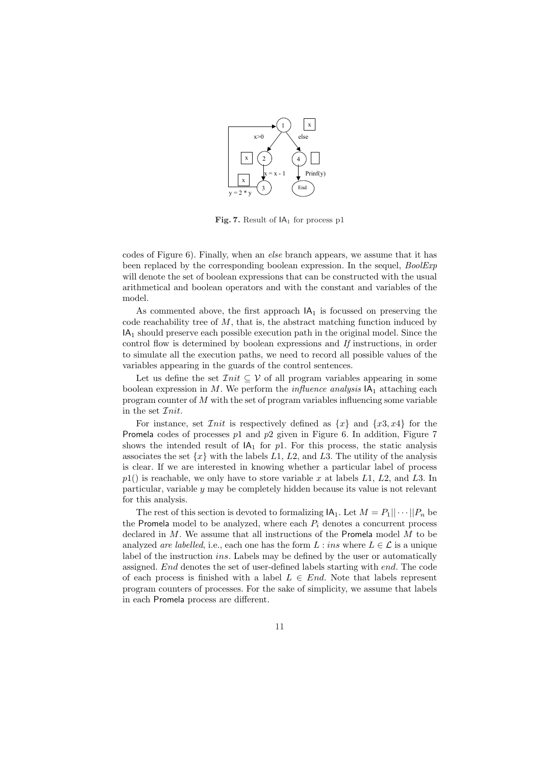

Fig. 7. Result of  $IA<sub>1</sub>$  for process p1

codes of Figure 6). Finally, when an else branch appears, we assume that it has been replaced by the corresponding boolean expression. In the sequel,  $BoolExp$ will denote the set of boolean expressions that can be constructed with the usual arithmetical and boolean operators and with the constant and variables of the model.

As commented above, the first approach  $IA<sub>1</sub>$  is focussed on preserving the code reachability tree of  $M$ , that is, the abstract matching function induced by  $IA<sub>1</sub>$  should preserve each possible execution path in the original model. Since the control flow is determined by boolean expressions and If instructions, in order to simulate all the execution paths, we need to record all possible values of the variables appearing in the guards of the control sentences.

Let us define the set  $Init \subseteq V$  of all program variables appearing in some boolean expression in M. We perform the *influence analysis*  $IA_1$  attaching each program counter of M with the set of program variables influencing some variable in the set Init.

For instance, set  $Init$  is respectively defined as  $\{x\}$  and  $\{x3, x4\}$  for the Promela codes of processes  $p1$  and  $p2$  given in Figure 6. In addition, Figure 7 shows the intended result of  $|A_1|$  for p1. For this process, the static analysis associates the set  $\{x\}$  with the labels L1, L2, and L3. The utility of the analysis is clear. If we are interested in knowing whether a particular label of process  $p1()$  is reachable, we only have to store variable x at labels L1, L2, and L3. In particular, variable y may be completely hidden because its value is not relevant for this analysis.

The rest of this section is devoted to formalizing  $|A_1$ . Let  $M = P_1 || \cdots || P_n$  be the Promela model to be analyzed, where each  $P_i$  denotes a concurrent process declared in  $M$ . We assume that all instructions of the Promela model  $M$  to be analyzed *are labelled*, i.e., each one has the form  $L : ins$  where  $L \in \mathcal{L}$  is a unique label of the instruction ins. Labels may be defined by the user or automatically assigned. End denotes the set of user-defined labels starting with end. The code of each process is finished with a label  $L \in End$ . Note that labels represent program counters of processes. For the sake of simplicity, we assume that labels in each Promela process are different.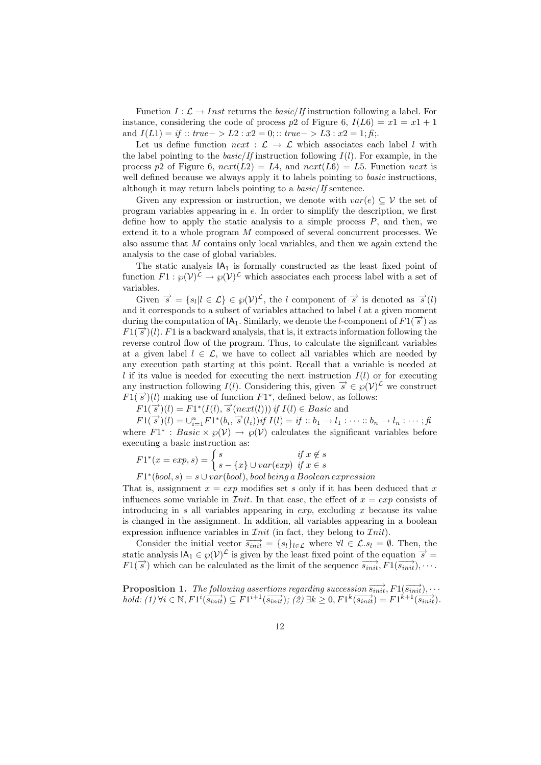Function  $I: \mathcal{L} \to Inst$  returns the *basic*/If instruction following a label. For instance, considering the code of process  $p2$  of Figure 6,  $I(L6) = x1 = x1 + 1$ and  $I(L1) = if :: true->L2:x2=0; :: true->L3:x2=1; f_i;$ .

Let us define function  $next : \mathcal{L} \to \mathcal{L}$  which associates each label l with the label pointing to the *basic/If* instruction following  $I(l)$ . For example, in the process p2 of Figure 6,  $next(L2) = L4$ , and  $next(L6) = L5$ . Function next is well defined because we always apply it to labels pointing to *basic* instructions, although it may return labels pointing to a basic/If sentence.

Given any expression or instruction, we denote with  $var(e) \subseteq V$  the set of program variables appearing in e. In order to simplify the description, we first define how to apply the static analysis to a simple process  $P$ , and then, we extend it to a whole program M composed of several concurrent processes. We also assume that M contains only local variables, and then we again extend the analysis to the case of global variables.

The static analysis  $IA<sub>1</sub>$  is formally constructed as the least fixed point of function  $F1: \varphi(\mathcal{V})^{\mathcal{L}} \to \varphi(\mathcal{V})^{\mathcal{L}}$  which associates each process label with a set of variables.

Given  $\vec{s} = \{s_l | l \in \mathcal{L}\}\in \wp(\mathcal{V})^{\mathcal{L}}$ , the l component of  $\vec{s}$  is denoted as  $\vec{s}(l)$ and it corresponds to a subset of variables attached to label  $l$  at a given moment during the computation of  $IA_1$ . Similarly, we denote the l-component of  $F1(\vec{s})$  as  $F1(\vec{s})$ (l). F1 is a backward analysis, that is, it extracts information following the reverse control flow of the program. Thus, to calculate the significant variables at a given label  $l \in \mathcal{L}$ , we have to collect all variables which are needed by any execution path starting at this point. Recall that a variable is needed at  $l$  if its value is needed for executing the next instruction  $I(l)$  or for executing any instruction following I(l). Considering this, given  $\vec{s} \in \mathcal{G}(\mathcal{V})^{\mathcal{L}}$  we construct  $F1(\vec{s})$ (l) making use of function  $F1^*$ , defined below, as follows:

 $F_1(\overrightarrow{s})(l) = F_1*(I(l), \overrightarrow{s}(next(l)))$  if  $I(l) \in Basic$  and

 $F1(\vec{s})(l) = \cup_{i=1}^{n} F1^{*}(b_{i}, \vec{s}'(l_{i}))$  if  $I(l) = if :: b_{1} \rightarrow l_{1} : \cdots :: b_{n} \rightarrow l_{n} : \cdots ; fi$ where  $F1^*$ :  $Basic \times \wp(V) \rightarrow \wp(V)$  calculates the significant variables before executing a basic instruction as:

cuting a basic instruction as:<br> $F1^*(x = exp, s) = \begin{cases} s & \text{if } x \notin s \\ 0 & \text{otherwise} \end{cases}$  $s - \{x\} \cup var(exp)$  if  $x \in s$  $F1*(bool, s) = s \cup var(bool), bool being a Boolean expression$ 

That is, assignment  $x = exp$  modifies set s only if it has been deduced that x influences some variable in *Tnit*. In that case, the effect of  $x = exp$  consists of introducing in  $s$  all variables appearing in  $exp$ , excluding  $x$  because its value is changed in the assignment. In addition, all variables appearing in a boolean expression influence variables in  $Init$  (in fact, they belong to  $Init$ ).

Consider the initial vector  $\overrightarrow{s_{init}} = \{s_l\}_{l \in \mathcal{L}}$  where  $\forall l \in \mathcal{L}. s_l = \emptyset$ . Then, the static analysis  $IA_1 \in \wp(\mathcal{V})^{\mathcal{L}}$  is given by the least fixed point of the equation  $\vec{s} =$  $F1(\vec{s})$  which can be calculated as the limit of the sequence  $\overrightarrow{s_{init}}, F1(\overrightarrow{s_{init}}), \cdots$ .

**Proposition 1.** The following assertions regarding succession  $\overrightarrow{s_{init}}$ ,  $F1(\overrightarrow{s_{init}})$ ,  $\cdots$ hold:  $(1)$   $\forall i \in \mathbb{N}$ ,  $F1^i(\overrightarrow{s_{init}}) \subseteq F1^{i+1}(\overrightarrow{s_{init}})$ ;  $(2)$   $\exists k \geq 0$ ,  $F1^k(\overrightarrow{s_{init}}) = F1^{k+1}(\overrightarrow{s_{init}})$ .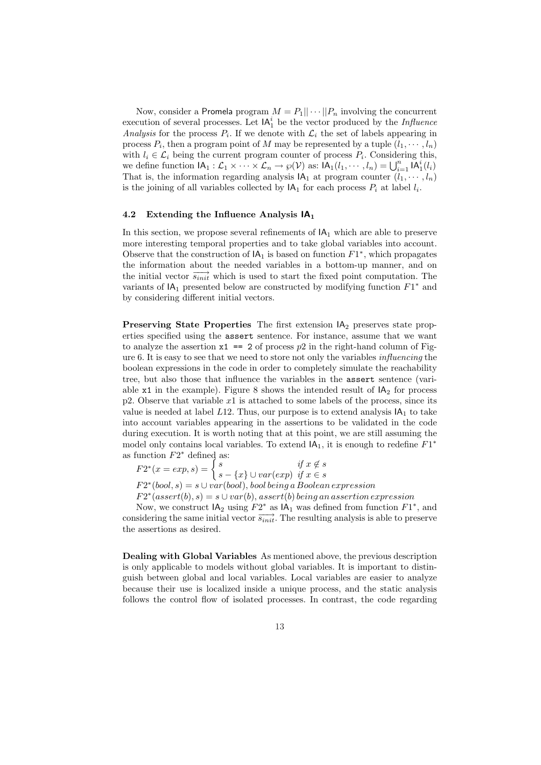Now, consider a Promela program  $M = P_1 || \cdots || P_n$  involving the concurrent execution of several processes. Let  $IA<sub>1</sub><sup>i</sup>$  be the vector produced by the *Influence* Analysis for the process  $P_i$ . If we denote with  $\mathcal{L}_i$  the set of labels appearing in process  $P_i$ , then a program point of M may be represented by a tuple  $(l_1, \dots, l_n)$ with  $l_i \in \mathcal{L}_i$  being the current program counter of process  $P_i$ . Considering this, with  $i_i \in \mathcal{L}_i$  being the current program counter of process  $P_i$ . Considering this,<br>we define function  $|A_1 : \mathcal{L}_1 \times \cdots \times \mathcal{L}_n \to \wp(\mathcal{V})$  as:  $|A_1(l_1, \dots, l_n) = \bigcup_{i=1}^n |A_1^i(l_i)|$ That is, the information regarding analysis  $IA_1$  at program counter  $(l_1, \dots, l_n)$ is the joining of all variables collected by  $|A_1|$  for each process  $P_i$  at label  $l_i$ .

#### 4.2 Extending the Influence Analysis  $IA<sub>1</sub>$

In this section, we propose several refinements of  $IA<sub>1</sub>$  which are able to preserve more interesting temporal properties and to take global variables into account. Observe that the construction of  $IA<sub>1</sub>$  is based on function  $F1^*$ , which propagates the information about the needed variables in a bottom-up manner, and on the initial vector  $\overrightarrow{s_{init}}$  which is used to start the fixed point computation. The variants of  $IA_1$  presented below are constructed by modifying function  $F1^*$  and by considering different initial vectors.

Preserving State Properties The first extension  $A_2$  preserves state properties specified using the assert sentence. For instance, assume that we want to analyze the assertion  $x1 == 2$  of process  $p2$  in the right-hand column of Figure 6. It is easy to see that we need to store not only the variables influencing the boolean expressions in the code in order to completely simulate the reachability tree, but also those that influence the variables in the assert sentence (variable  $x1$  in the example). Figure 8 shows the intended result of  $IA<sub>2</sub>$  for process p2. Observe that variable  $x1$  is attached to some labels of the process, since its value is needed at label  $L12$ . Thus, our purpose is to extend analysis  $IA<sub>1</sub>$  to take into account variables appearing in the assertions to be validated in the code during execution. It is worth noting that at this point, we are still assuming the model only contains local variables. To extend  $IA<sub>1</sub>$ , it is enough to redefine  $F1^*$ 

as function 
$$
F2^*
$$
 defined as:  
\n
$$
F2^*(x = exp, s) = \begin{cases} s & \text{if } x \notin s \\ s - \{x\} \cup var(exp) & \text{if } x \in s \end{cases}
$$
\n
$$
F2^*(bool, s) = s \cup var(bool), bool being a Boolean expression
$$
\n
$$
F2^*(assert(b), s) = s \cup var(b), assert(b) being an assertion expression
$$

Now, we construct  $IA_2$  using  $F2^*$  as  $IA_1$  was defined from function  $F1^*$ , and considering the same initial vector  $\overrightarrow{s_{init}}$ . The resulting analysis is able to preserve the assertions as desired.

Dealing with Global Variables As mentioned above, the previous description is only applicable to models without global variables. It is important to distinguish between global and local variables. Local variables are easier to analyze because their use is localized inside a unique process, and the static analysis follows the control flow of isolated processes. In contrast, the code regarding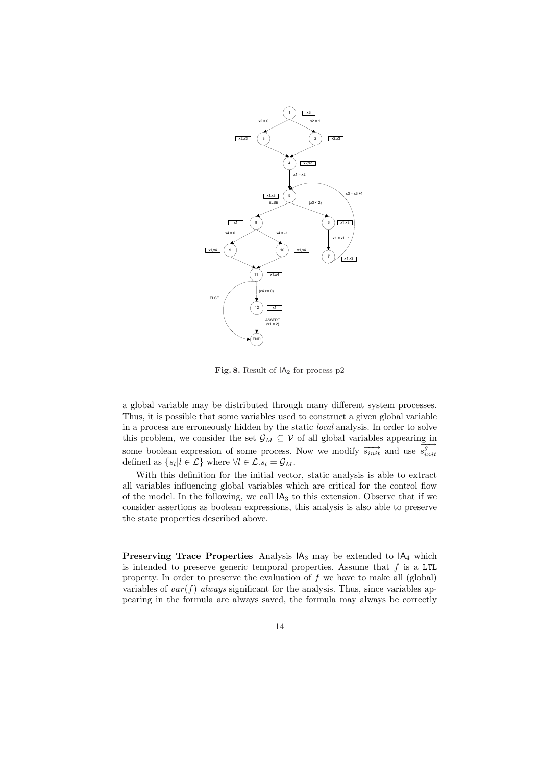

Fig. 8. Result of  $IA<sub>2</sub>$  for process p2

a global variable may be distributed through many different system processes. Thus, it is possible that some variables used to construct a given global variable in a process are erroneously hidden by the static local analysis. In order to solve this problem, we consider the set  $\mathcal{G}_M \subseteq \mathcal{V}$  of all global variables appearing in some boolean expression of some process. Now we modify  $\overrightarrow{s_{init}}$  and use  $\overrightarrow{s_{init}}$ defined as  $\{s_l | l \in \mathcal{L}\}\$  where  $\forall l \in \mathcal{L}.s_l = \mathcal{G}_M$ .

With this definition for the initial vector, static analysis is able to extract all variables influencing global variables which are critical for the control flow of the model. In the following, we call  $A_3$  to this extension. Observe that if we consider assertions as boolean expressions, this analysis is also able to preserve the state properties described above.

**Preserving Trace Properties** Analysis  $IA_3$  may be extended to  $IA_4$  which is intended to preserve generic temporal properties. Assume that  $f$  is a LTL property. In order to preserve the evaluation of  $f$  we have to make all (global) variables of  $var(f)$  always significant for the analysis. Thus, since variables appearing in the formula are always saved, the formula may always be correctly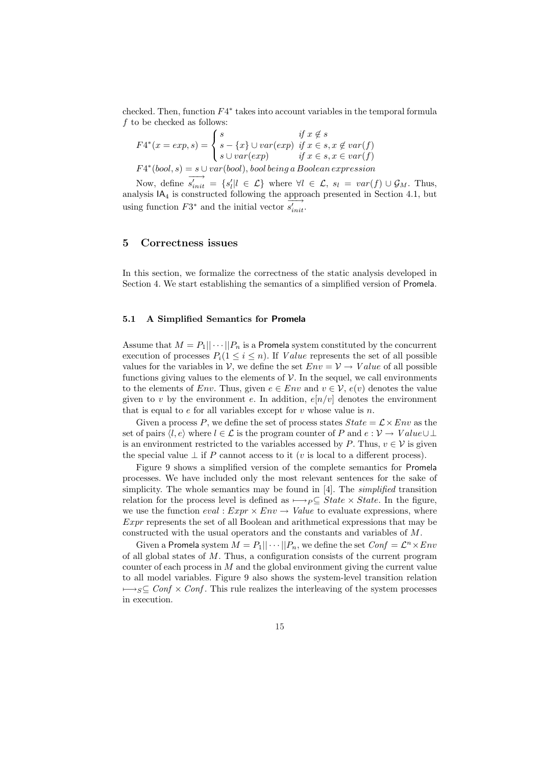checked. Then, function  $F4^*$  takes into account variables in the temporal formula  $f$  to be checked as follows:

$$
F4^*(x = exp, s) = \begin{cases} s & \text{if } x \notin s \\ s - \{x\} \cup var(exp) & \text{if } x \in s, x \notin var(f) \\ s \cup var(exp) & \text{if } x \in s, x \in var(f) \end{cases}
$$

$$
F4^*(bool, s) = s \cup var(bool), bool being a Boolean expression
$$

Now, define  $\overrightarrow{s'_{init}} = \{s'_l | l \in \mathcal{L}\}\$  where  $\forall l \in \mathcal{L}, s_l = var(f) \cup \mathcal{G}_M$ . Thus, analysis  $IA<sub>4</sub>$  is constructed following the approach presented in Section 4.1, but using function  $F3^*$  and the initial vector  $s'_{init}$ .

#### 5 Correctness issues

In this section, we formalize the correctness of the static analysis developed in Section 4. We start establishing the semantics of a simplified version of Promela.

#### 5.1 A Simplified Semantics for Promela

Assume that  $M = P_1 || \cdots || P_n$  is a Promela system constituted by the concurrent execution of processes  $P_i(1 \leq i \leq n)$ . If Value represents the set of all possible values for the variables in V, we define the set  $Env = V \rightarrow Value$  of all possible functions giving values to the elements of  $V$ . In the sequel, we call environments to the elements of Env. Thus, given  $e \in Env$  and  $v \in V$ ,  $e(v)$  denotes the value given to v by the environment e. In addition,  $e[n/v]$  denotes the environment that is equal to  $e$  for all variables except for  $v$  whose value is  $n$ .

Given a process P, we define the set of process states  $State = \mathcal{L} \times Env$  as the set of pairs  $\langle l, e \rangle$  where  $l \in \mathcal{L}$  is the program counter of P and  $e : \mathcal{V} \to Value \cup \bot$ is an environment restricted to the variables accessed by P. Thus,  $v \in V$  is given the special value  $\perp$  if P cannot access to it (v is local to a different process).

Figure 9 shows a simplified version of the complete semantics for Promela processes. We have included only the most relevant sentences for the sake of simplicity. The whole semantics may be found in [4]. The *simplified* transition relation for the process level is defined as  $\longmapsto_{P} \subseteq State \times State$ . In the figure, we use the function  $eval: Expr \times Env \rightarrow Value$  to evaluate expressions, where Expr represents the set of all Boolean and arithmetical expressions that may be constructed with the usual operators and the constants and variables of M.

Given a Promela system  $M = P_1 || \cdots || P_n$ , we define the set  $\text{Conf} = \mathcal{L}^n \times \text{Env}$ of all global states of M. Thus, a configuration consists of the current program counter of each process in M and the global environment giving the current value to all model variables. Figure 9 also shows the system-level transition relation  $\rightarrow$ s $\subseteq$  Conf  $\times$  Conf. This rule realizes the interleaving of the system processes in execution.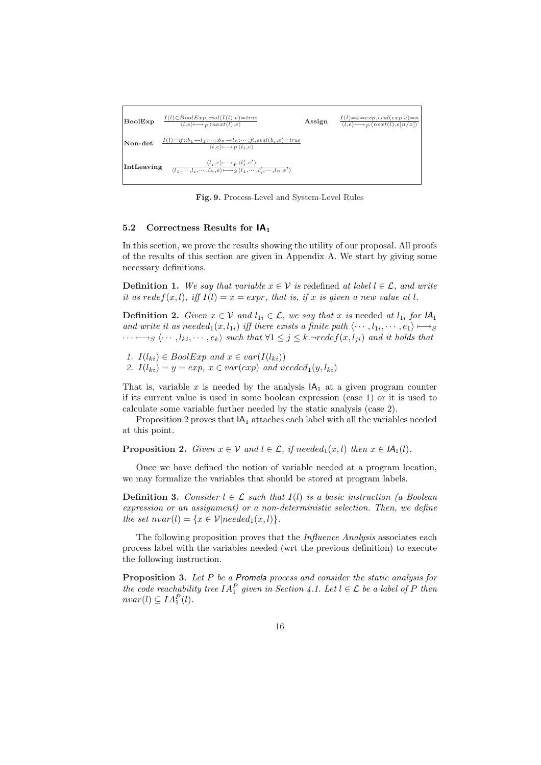

Fig. 9. Process-Level and System-Level Rules

#### 5.2 Correctness Results for  $IA<sub>1</sub>$

In this section, we prove the results showing the utility of our proposal. All proofs of the results of this section are given in Appendix A. We start by giving some necessary definitions.

**Definition 1.** We say that variable  $x \in V$  is redefined at label  $l \in \mathcal{L}$ , and write it as  $redef(x, l)$ , iff  $I(l) = x = expr$ , that is, if x is given a new value at l.

**Definition 2.** Given  $x \in V$  and  $l_{1i} \in \mathcal{L}$ , we say that x is needed at  $l_{1i}$  for  $IA_1$ and write it as needed<sub>1</sub> $(x, l_{1i})$  iff there exists a finite path  $\langle \cdots, l_{1i}, \cdots, e_1 \rangle \longmapsto_S$  $\cdots \longmapsto_S \langle \cdots, l_{ki}, \cdots, e_k \rangle$  such that  $\forall 1 \leq j \leq k$ . $\neg redef(x, l_{ii})$  and it holds that

1.  $I(l_{ki}) \in BookExp$  and  $x \in var(I(l_{ki}))$ 2.  $I(l_{ki}) = y = exp, x \in var(exp)$  and needed<sub>1</sub> $(y, l_{ki})$ 

That is, variable x is needed by the analysis  $IA<sub>1</sub>$  at a given program counter if its current value is used in some boolean expression (case 1) or it is used to calculate some variable further needed by the static analysis (case 2).

Proposition 2 proves that  $IA<sub>1</sub>$  attaches each label with all the variables needed at this point.

**Proposition 2.** Given  $x \in V$  and  $l \in \mathcal{L}$ , if needed<sub>1</sub> $(x, l)$  then  $x \in IA_1(l)$ .

Once we have defined the notion of variable needed at a program location, we may formalize the variables that should be stored at program labels.

**Definition 3.** Consider  $l \in \mathcal{L}$  such that  $I(l)$  is a basic instruction (a Boolean expression or an assignment) or a non-deterministic selection. Then, we define the set  $nvar(l) = \{x \in \mathcal{V} | needed_1(x, l)\}.$ 

The following proposition proves that the *Influence Analysis* associates each process label with the variables needed (wrt the previous definition) to execute the following instruction.

Proposition 3. Let P be a Promela process and consider the static analysis for the code reachability tree  $IA_1^P$  given in Section 4.1. Let  $l \in \mathcal{L}$  be a label of P then  $nvar(l) \subseteq IA_1^P(l).$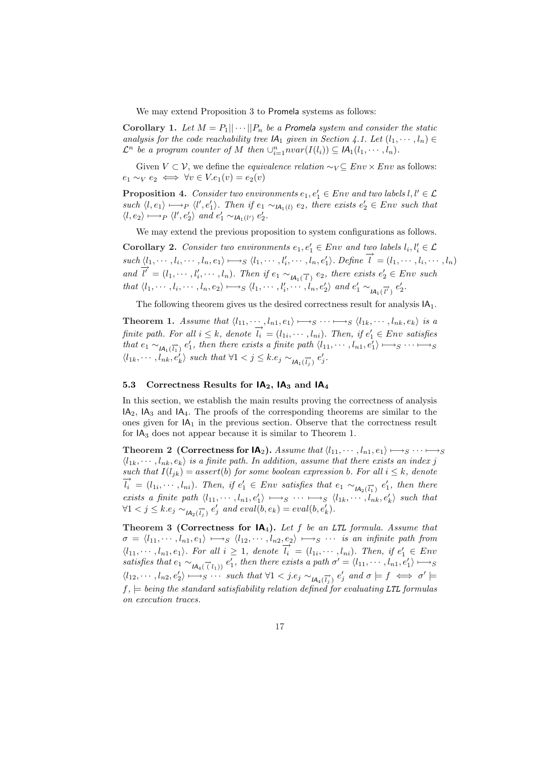We may extend Proposition 3 to Promela systems as follows:

Corollary 1. Let  $M = P_1 || \cdots || P_n$  be a Promela system and consider the static analysis for the code reachability tree  $IA_1$  given in Section 4.1. Let  $(l_1, \dots, l_n) \in$  $\mathcal{L}^n$  be a program counter of M then  $\cup_{i=1}^n nvar(I(l_i)) \subseteq \mathcal{A}_1(l_1, \cdots, l_n)$ .

Given  $V \subset V$ , we define the *equivalence relation*  $\sim_V \subseteq Env \times Env$  as follows:  $e_1 \sim_V e_2 \iff \forall v \in V.e_1(v) = e_2(v)$ 

**Proposition 4.** Consider two environments  $e_1, e'_1 \in Env$  and two labels  $l, l' \in \mathcal{L}$ such  $\langle l, e_1 \rangle \longmapsto_{P} \langle l', e'_1 \rangle$ . Then if  $e_1 \sim_{A_1(l)} e_2$ , there exists  $e'_2 \in Env$  such that  $\langle l, e_2 \rangle \longmapsto_P \langle l', e'_2 \rangle \text{ and } e'_1 \sim_{\mathsf{IA}_1(l')} e'_2.$ 

We may extend the previous proposition to system configurations as follows.

**Corollary 2.** Consider two environments  $e_1, e'_1 \in Env$  and two labels  $l_i, l'_i \in \mathcal{L}$  $such \langle l_1, \cdots, l_i, \cdots, l_n, e_1 \rangle \longmapsto_{S} \langle l_1, \cdots, l'_i, \cdots, l_n, e'_1 \rangle$ . Define  $\overrightarrow{l} = (l_1, \cdots, l_i, \cdots, l_n)$ and  $\vec{l'} = (l_1, \dots, l'_i, \dots, l_n)$ . Then if  $e_1 \sim_{lA_1(\vec{l})} e_2$ , there exists  $e'_2 \in Env$  such that  $\langle l_1, \cdots, l_i, \cdots, l_n, e_2 \rangle \longmapsto_S \langle l_1, \cdots, l'_i, \cdots, l'_n, e'_2 \rangle$  and  $e'_1 \sim_{\mathsf{IA}_1(\overrightarrow{l'})} e'_2$ .

The following theorem gives us the desired correctness result for analysis  $IA<sub>1</sub>$ .

**Theorem 1.** Assume that  $\langle l_{11}, \cdots, l_{n1}, e_1 \rangle \mapsto_S \cdots \mapsto_S \langle l_{1k}, \cdots, l_{nk}, e_k \rangle$  is a finite path. For all  $i \leq k$ , denote  $\overrightarrow{l_i} = (l_{1i}, \dots, l_{ni})$ . Then, if  $e'_1 \in Env$  satisfies that  $e_1 \sim_{\mathcal{A}_{1}(\overrightarrow{l_1})} e'_1$ , then there exists a finite path  $\langle l_{11}, \cdots, l_{n1}, e'_1 \rangle \longmapsto_{S} \cdots \longmapsto_{S}$  $\langle l_{1k}, \cdots, l_{nk}, e'_k \rangle$  such that  $\forall 1 < j \leq k.e_j \sim_{\mathbf{A}_1(\overrightarrow{l_j})} e'_j$ .

#### 5.3 Correctness Results for  $IA_2$ ,  $IA_3$  and  $IA_4$

In this section, we establish the main results proving the correctness of analysis  $IA<sub>2</sub>$ ,  $IA<sub>3</sub>$  and  $IA<sub>4</sub>$ . The proofs of the corresponding theorems are similar to the ones given for  $IA<sub>1</sub>$  in the previous section. Observe that the correctness result for IA<sup>3</sup> does not appear because it is similar to Theorem 1.

Theorem 2 (Correctness for  $|A_2|$ ). Assume that  $\langle l_{11}, \cdots, l_{n1}, e_1 \rangle \mapsto_S \cdots \mapsto_S$  $\langle l_{1k}, \cdots, l_{nk}, e_k \rangle$  is a finite path. In addition, assume that there exists an index j such that  $I(l_{jk}) = assert(b)$  for some boolean expression b. For all  $i \leq k$ , denote  $\overrightarrow{l_i} = (l_{1i}, \dots, l_{ni}).$  Then, if  $e'_1 \in Env$  satisfies that  $e_1 \sim_{lA_2(\overrightarrow{l_1})} e'_1$ , then there exists a finite path  $\langle l_{11}, \cdots, l_{n1}, e'_1 \rangle \mapsto_S \cdots \mapsto_S \langle l_{1k}, \cdots, l_{nk}, e'_k \rangle$  such that  $\forall 1 < j \leq k.e_j \sim_{\mathit{IA}_2(\overrightarrow{l_j})} e'_j$  and  $eval(b, e_k) = eval(b, e'_k)$ .

Theorem 3 (Correctness for  $|A_4|$ ). Let f be an LTL formula. Assume that  $\sigma = \langle l_{11}, \cdots, l_{n1}, e_1 \rangle \longmapsto_S \langle l_{12}, \cdots, l_{n2}, e_2 \rangle \longmapsto_S \cdots$  is an infinite path from  $\langle l_{11}, \cdots, l_{n1}, e_1 \rangle$ . For all  $i \geq 1$ , denote  $\overrightarrow{l_i} = (l_{1i}, \cdots, l_{ni})$ . Then, if  $e'_1 \in Env$ satisfies that  $e_1 \sim_{\mathsf{IA}_4(\vec{\langle} \ell_1)\mathsf{)}} e'_1$ , then there exists a path  $\sigma' = \langle l_{11}, \cdots, l_{n1}, e'_1 \rangle \longmapsto_{S}$  $\langle l_{12}, \cdots, l_{n2}, e'_2 \rangle \longmapsto_S \cdots$  such that  $\forall 1 < j.e_j \sim_{\mathsf{IA}_4(\overrightarrow{l_j})} e'_j$  and  $\sigma \models f \iff \sigma' \models$  $f_1 \models$  being the standard satisfiability relation defined for evaluating LTL formulas on execution traces.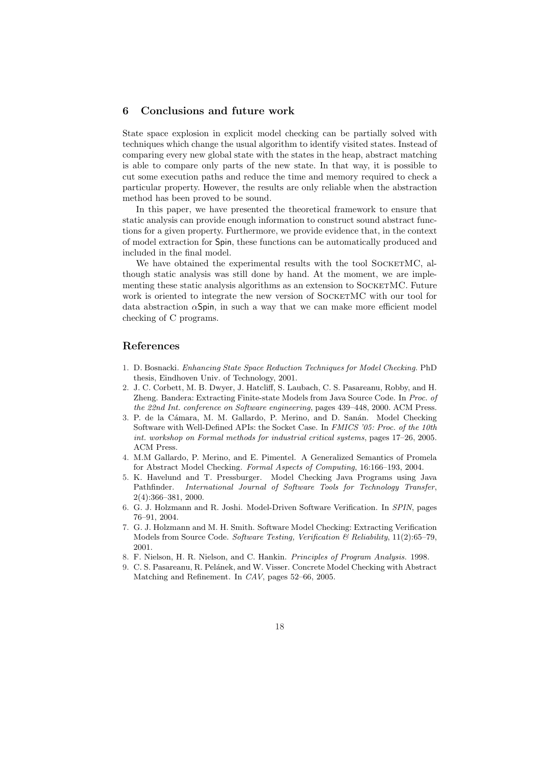# 6 Conclusions and future work

State space explosion in explicit model checking can be partially solved with techniques which change the usual algorithm to identify visited states. Instead of comparing every new global state with the states in the heap, abstract matching is able to compare only parts of the new state. In that way, it is possible to cut some execution paths and reduce the time and memory required to check a particular property. However, the results are only reliable when the abstraction method has been proved to be sound.

In this paper, we have presented the theoretical framework to ensure that static analysis can provide enough information to construct sound abstract functions for a given property. Furthermore, we provide evidence that, in the context of model extraction for Spin, these functions can be automatically produced and included in the final model.

We have obtained the experimental results with the tool SOCKETMC, although static analysis was still done by hand. At the moment, we are implementing these static analysis algorithms as an extension to SOCKETMC. Future work is oriented to integrate the new version of SOCKETMC with our tool for data abstraction  $\alpha$ Spin, in such a way that we can make more efficient model checking of C programs.

## References

- 1. D. Bosnacki. Enhancing State Space Reduction Techniques for Model Checking. PhD thesis, Eindhoven Univ. of Technology, 2001.
- 2. J. C. Corbett, M. B. Dwyer, J. Hatcliff, S. Laubach, C. S. Pasareanu, Robby, and H. Zheng. Bandera: Extracting Finite-state Models from Java Source Code. In Proc. of the 22nd Int. conference on Software engineering, pages 439–448, 2000. ACM Press.
- 3. P. de la Cámara, M. M. Gallardo, P. Merino, and D. Sanán. Model Checking Software with Well-Defined APIs: the Socket Case. In FMICS '05: Proc. of the 10th int. workshop on Formal methods for industrial critical systems, pages 17–26, 2005. ACM Press.
- 4. M.M Gallardo, P. Merino, and E. Pimentel. A Generalized Semantics of Promela for Abstract Model Checking. Formal Aspects of Computing, 16:166–193, 2004.
- 5. K. Havelund and T. Pressburger. Model Checking Java Programs using Java Pathfinder. International Journal of Software Tools for Technology Transfer, 2(4):366–381, 2000.
- 6. G. J. Holzmann and R. Joshi. Model-Driven Software Verification. In SPIN, pages 76–91, 2004.
- 7. G. J. Holzmann and M. H. Smith. Software Model Checking: Extracting Verification Models from Source Code. Software Testing, Verification & Reliability,  $11(2):65-79$ , 2001.
- 8. F. Nielson, H. R. Nielson, and C. Hankin. Principles of Program Analysis. 1998.
- 9. C. S. Pasareanu, R. Pelánek, and W. Visser. Concrete Model Checking with Abstract Matching and Refinement. In CAV, pages 52–66, 2005.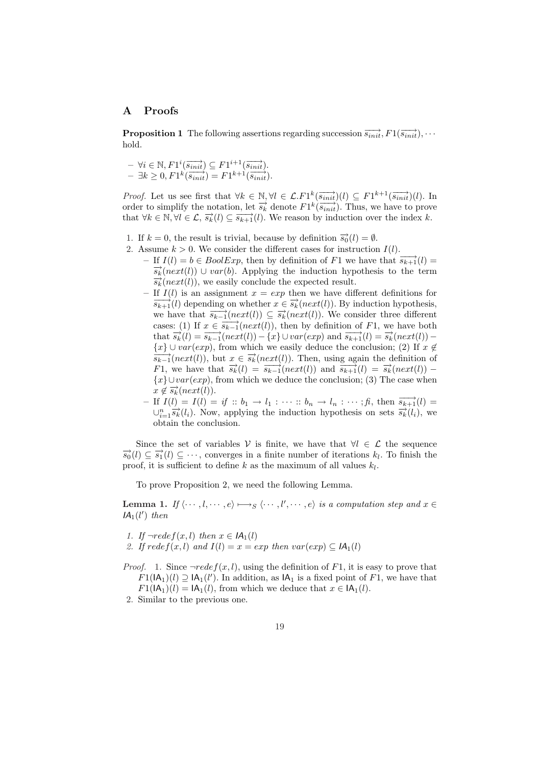## A Proofs

**Proposition 1** The following assertions regarding succession  $\overrightarrow{s_{init}}, F1(\overrightarrow{s_{init}}), \cdots$ hold.

 $- \forall i \in \mathbb{N}, F1^i(\overrightarrow{s_{init}}) \subseteq F1^{i+1}(\overrightarrow{s_{init}}).$  $- \exists k \geq 0, F1^k(\overrightarrow{s_{init}}) = F1^{k+1}(\overrightarrow{s_{init}}).$ 

*Proof.* Let us see first that  $\forall k \in \mathbb{N}, \forall l \in \mathcal{L}. F1^k(\overrightarrow{s_{init}})(l) \subseteq F1^{k+1}(\overrightarrow{s_{init}})(l)$ . In order to simplify the notation, let  $\overrightarrow{s_k}$  denote  $F1^k(\overrightarrow{s_{init}})$ . Thus, we have to prove that  $\forall k \in \mathbb{N}, \forall l \in \mathcal{L}, \overrightarrow{s_k}(l) \subseteq \overrightarrow{s_{k+1}}(l)$ . We reason by induction over the index k.

- 1. If  $k = 0$ , the result is trivial, because by definition  $\vec{s}_0(l) = \emptyset$ .
- 2. Assume  $k > 0$ . We consider the different cases for instruction  $I(l)$ . – If  $I(l) = b \in BookExp$ , then by definition of F1 we have that  $\overrightarrow{s_{k+1}}(l) =$  $\vec{s}_k(next(l)) \cup var(b)$ . Applying the induction hypothesis to the term  $\vec{s_k}(next(l))$ , we easily conclude the expected result.
	- If  $I(l)$  is an assignment  $x = exp$  then we have different definitions for  $\frac{d}{ds_{k+1}}(l)$  depending on whether  $x \in \overrightarrow{s_k}(next(l))$ . By induction hypothesis, we have that  $\frac{S_{\epsilon}(n\epsilon x(t))}{s_{k-1}(next(l))} \subseteq \frac{S_{\epsilon}(n\epsilon x(t))}{s_k(next(l))}$ . We consider three different cases: (1) If  $x \in \overline{s_{k-1}(next(l))}$ , then by definition of F1, we have both that  $\overrightarrow{s_k}(l) = \overrightarrow{s_{k-1}}(next(l)) - \{x\} \cup var(exp)$  and  $\overrightarrow{s_{k+1}}(l) = \overrightarrow{s_k}(next(l)) {x} \cup var(exp)$ , from which we easily deduce the conclusion; (2) If  $x \notin$  $\overrightarrow{s_{k-1}}(next(l))$ , but  $x \in \overrightarrow{s_k}(next(l))$ . Then, using again the definition of F1, we have that  $\vec{s_k}(l) = \vec{s_{k-1}}(next(l))$  and  $\vec{s_{k+1}}(l) = \vec{s_k}(next(l))$  –  ${x} \cup var(exp)$ , from which we deduce the conclusion; (3) The case when  $x \notin \overrightarrow{s_k}(next(l)).$
	- If  $I(l) = I(l) = if :: b_1 \rightarrow l_1 : \cdots :: b_n \rightarrow l_n : \cdots ; f_i$ , then  $\overrightarrow{s_{k+1}}(l) =$  $\bigcup_{i=1}^{n} \frac{1}{s_k}(l_i)$ . Now, applying the induction hypothesis on sets  $\frac{s_{k+1}(l_i)}{s_k}(l_i)$ , we obtain the conclusion.

Since the set of variables V is finite, we have that  $\forall l \in \mathcal{L}$  the sequence  $\vec{s}_0(l) \subseteq \vec{s}_1(l) \subseteq \cdots$ , converges in a finite number of iterations  $k_l$ . To finish the proof, it is sufficient to define k as the maximum of all values  $k_l$ .

To prove Proposition 2, we need the following Lemma.

**Lemma 1.** If  $\langle \cdots, l, \cdots, e \rangle \mapsto_S \langle \cdots, l', \cdots, e \rangle$  is a computation step and  $x \in$  $IA<sub>1</sub>(l')$  then

- 1. If  $\neg redef(x, l)$  then  $x \in IA_1(l)$ 2. If  $redef(x, l)$  and  $I(l) = x = exp$  then  $var(exp) \subseteq IA_1(l)$
- *Proof.* 1. Since  $\neg \text{red}ef(x, l)$ , using the definition of F1, it is easy to prove that  $F1(\mathsf{IA}_1)(l) \supseteq \mathsf{IA}_1(l')$ . In addition, as  $\mathsf{IA}_1$  is a fixed point of  $F1$ , we have that  $F1(\mathsf{IA}_1)(l) = \mathsf{IA}_1(l)$ , from which we deduce that  $x \in \mathsf{IA}_1(l)$ .
- 2. Similar to the previous one.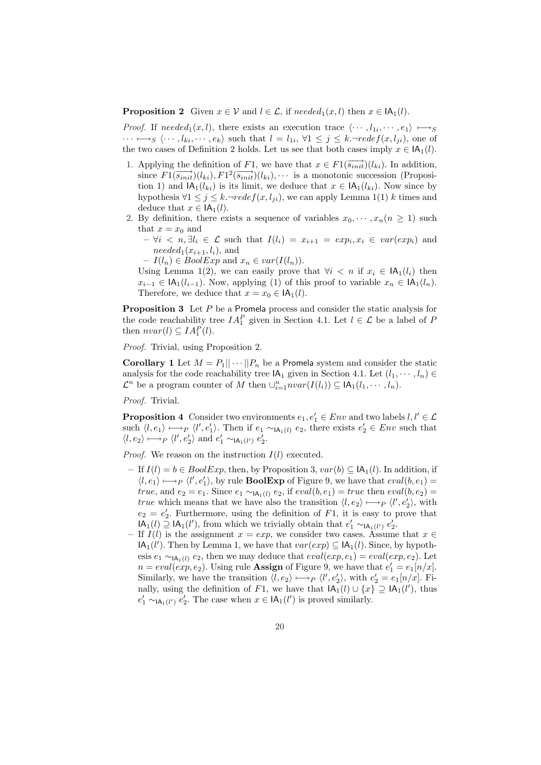**Proposition 2** Given  $x \in V$  and  $l \in \mathcal{L}$ , if needed<sub>1</sub> $(x, l)$  then  $x \in A_1(l)$ .

*Proof.* If needed<sub>1</sub> $(x, l)$ , there exists an execution trace  $\langle \cdots, l_{1i}, \cdots, e_1 \rangle \mapsto_S$  $\cdots \longmapsto_S \langle \cdots, l_{ki}, \cdots, e_k \rangle$  such that  $l = l_{1i}, \forall 1 \leq j \leq k$ .  $\neg \text{redef}(x, l_{ji})$ , one of the two cases of Definition 2 holds. Let us see that both cases imply  $x \in A_1(l)$ .

- 1. Applying the definition of F1, we have that  $x \in F1(\overrightarrow{s_{init}})(l_{ki})$ . In addition, since  $F1(\overrightarrow{s_{init}})(l_{ki}), F1^2(\overrightarrow{s_{init}})(l_{ki}), \cdots$  is a monotonic succession (Proposition 1) and  $IA_1(l_{ki})$  is its limit, we deduce that  $x \in IA_1(l_{ki})$ . Now since by hypothesis  $\forall 1 \leq j \leq k$ . $\neg \text{red}ef(x, l_{ji})$ , we can apply Lemma 1(1) k times and deduce that  $x \in IA_1(l)$ .
- 2. By definition, there exists a sequence of variables  $x_0, \dots, x_n (n \geq 1)$  such that  $x = x_0$  and
	- $\forall i \leq n, \exists l_i \in \mathcal{L}$  such that  $I(l_i) = x_{i+1} = exp_i, x_i \in var(exp_i)$  and  $needed_1(x_{i+1}, l_i)$ , and
	- $-I(l_n) \in BookExp$  and  $x_n \in var(I(l_n)).$

Using Lemma 1(2), we can easily prove that  $\forall i < n$  if  $x_i \in \mathsf{IA}_1(l_i)$  then  $x_{i-1} \in \mathsf{IA}_1(l_{i-1})$ . Now, applying (1) of this proof to variable  $x_n \in \mathsf{IA}_1(l_n)$ . Therefore, we deduce that  $x = x_0 \in \mathsf{IA}_1(l)$ .

**Proposition 3** Let  $P$  be a Promela process and consider the static analysis for the code reachability tree  $IA_1^P$  given in Section 4.1. Let  $l \in \mathcal{L}$  be a label of P then  $nvar(l) \subseteq IA_1^P(l)$ .

Proof. Trivial, using Proposition 2.

**Corollary 1** Let  $M = P_1 || \cdots || P_n$  be a Promela system and consider the static analysis for the code reachability tree  $\mathsf{IA}_1$  given in Section 4.1. Let  $(l_1, \dots, l_n) \in$  $\mathcal{L}^n$  be a program counter of M then  $\cup_{i=1}^n nvar(I(l_i)) \subseteq \mathsf{IA}_1(l_1,\cdots,l_n)$ .

Proof. Trivial.

**Proposition 4** Consider two environments  $e_1, e'_1 \in Env$  and two labels  $l, l' \in \mathcal{L}$ such  $\langle l, e_1 \rangle \mapsto_P \langle l', e'_1 \rangle$ . Then if  $e_1 \sim_{\mathsf{IA}_1(l)} e_2$ , there exists  $e'_2 \in Env$  such that  $\langle l, e_2 \rangle \longmapsto_P \langle l', e'_2 \rangle$  and  $e'_1 \sim_{\mathsf{IA}_1(l')} e'_2$ .

*Proof.* We reason on the instruction  $I(l)$  executed.

- If  $I(l) = b \in BookExp$ , then, by Proposition 3,  $var(b) \subseteq IA_1(l)$ . In addition, if  $\langle l, e_1 \rangle \longmapsto_{P} \langle l', e'_1 \rangle$ , by rule **BoolExp** of Figure 9, we have that  $eval(b, e_1)$  = true, and  $e_2 = e_1$ . Since  $e_1 \sim_{\mathsf{IA}_1(l)} e_2$ , if  $eval(b, e_1) = true$  then  $eval(b, e_2) =$ true which means that we have also the transition  $\langle l, e_2 \rangle \longmapsto_P \langle l', e'_2 \rangle$ , with  $e_2 = e'_2$ . Furthermore, using the definition of F1, it is easy to prove that  $\mathsf{IA}_1(l) \supseteq \mathsf{IA}_1(l')$ , from which we trivially obtain that  $e'_1 \sim_{\mathsf{IA}_1(l')} e'_2$ .
- If  $I(l)$  is the assignment  $x = exp$ , we consider two cases. Assume that  $x \in$  $\mathsf{IA}_1(l')$ . Then by Lemma 1, we have that  $var(exp) \subseteq \mathsf{IA}_1(l)$ . Since, by hypothesis  $e_1 \sim_{\mathsf{IA}_1(l)} e_2$ , then we may deduce that  $eval(exp, e_1) = eval(exp, e_2)$ . Let  $n = eval(exp, e_2)$ . Using rule **Assign** of Figure 9, we have that  $e'_1 = e_1[n/x]$ . Similarly, we have the transition  $\langle l, e_2 \rangle \longmapsto_P \langle l', e'_2 \rangle$ , with  $e'_2 = e_1[n/x]$ . Finally, using the definition of F1, we have that  $IA_1(l) \cup \{x\} \supseteq IA_1(l')$ , thus  $e'_1 \sim_{\mathsf{IA}_1(l')} e'_2$ . The case when  $x \in \mathsf{IA}_1(l')$  is proved similarly.